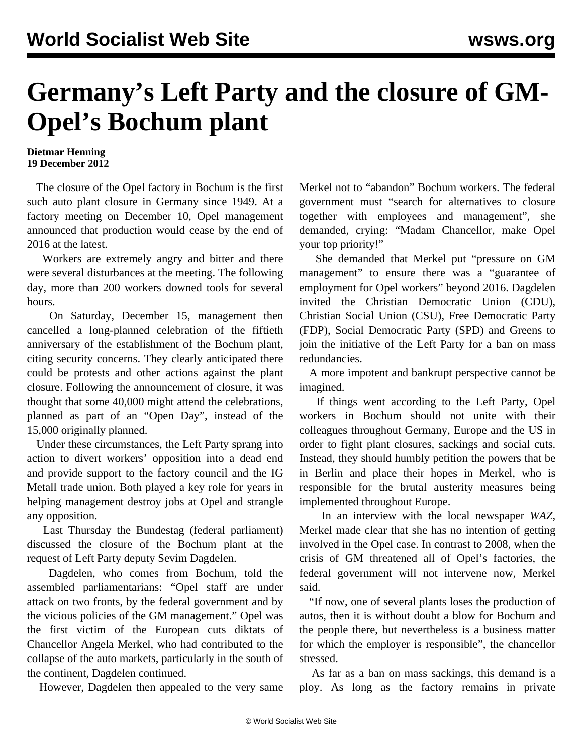## **Germany's Left Party and the closure of GM-Opel's Bochum plant**

## **Dietmar Henning 19 December 2012**

 The closure of the Opel factory in Bochum is the first such auto plant closure in Germany since 1949. At a factory meeting on December 10, Opel management announced that production would cease by the end of 2016 at the latest.

 Workers are extremely angry and bitter and there were several disturbances at the meeting. The following day, more than 200 workers downed tools for several hours.

 On Saturday, December 15, management then cancelled a long-planned celebration of the fiftieth anniversary of the establishment of the Bochum plant, citing security concerns. They clearly anticipated there could be protests and other actions against the plant closure. Following the announcement of closure, it was thought that some 40,000 might attend the celebrations, planned as part of an "Open Day", instead of the 15,000 originally planned.

 Under these circumstances, the Left Party sprang into action to divert workers' opposition into a dead end and provide support to the factory council and the IG Metall trade union. Both played a key role for years in helping management destroy jobs at Opel and strangle any opposition.

 Last Thursday the Bundestag (federal parliament) discussed the closure of the Bochum plant at the request of Left Party deputy Sevim Dagdelen.

 Dagdelen, who comes from Bochum, told the assembled parliamentarians: "Opel staff are under attack on two fronts, by the federal government and by the vicious policies of the GM management." Opel was the first victim of the European cuts diktats of Chancellor Angela Merkel, who had contributed to the collapse of the auto markets, particularly in the south of the continent, Dagdelen continued.

However, Dagdelen then appealed to the very same

Merkel not to "abandon" Bochum workers. The federal government must "search for alternatives to closure together with employees and management", she demanded, crying: "Madam Chancellor, make Opel your top priority!"

 She demanded that Merkel put "pressure on GM management" to ensure there was a "guarantee of employment for Opel workers" beyond 2016. Dagdelen invited the Christian Democratic Union (CDU), Christian Social Union (CSU), Free Democratic Party (FDP), Social Democratic Party (SPD) and Greens to join the initiative of the Left Party for a ban on mass redundancies.

 A more impotent and bankrupt perspective cannot be imagined.

 If things went according to the Left Party, Opel workers in Bochum should not unite with their colleagues throughout Germany, Europe and the US in order to fight plant closures, sackings and social cuts. Instead, they should humbly petition the powers that be in Berlin and place their hopes in Merkel, who is responsible for the brutal austerity measures being implemented throughout Europe.

 In an interview with the local newspaper *WAZ*, Merkel made clear that she has no intention of getting involved in the Opel case. In contrast to 2008, when the crisis of GM threatened all of Opel's factories, the federal government will not intervene now, Merkel said.

 "If now, one of several plants loses the production of autos, then it is without doubt a blow for Bochum and the people there, but nevertheless is a business matter for which the employer is responsible", the chancellor stressed.

 As far as a ban on mass sackings, this demand is a ploy. As long as the factory remains in private